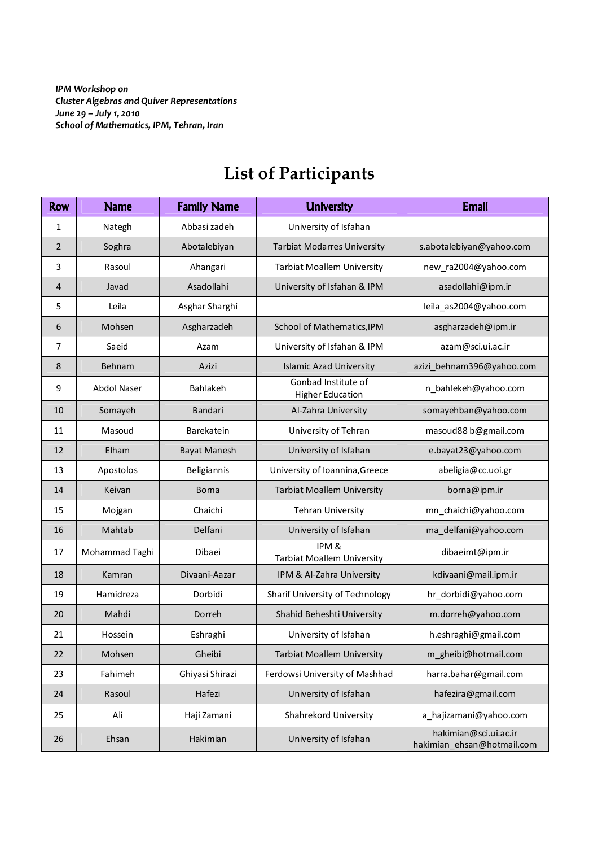IPM Workshop on Cluster Algebras and Quiver Representations June 29 – July 1, 2010 School of Mathematics, IPM, Tehran, Iran

## Row Name Family Name Hamily University Nuniversity Name Email 1 | Nategh | Abbasi zadeh | University of Isfahan 2 | Soghra | Abotalebiyan | Tarbiat Modarres University | s.abotalebiyan@yahoo.com 3 | Rasoul | Ahangari | Tarbiat Moallem University | new ra2004@yahoo.com 4 Javad | Asadollahi | University of Isfahan & IPM | asadollahi@ipm.ir 5 Leila Asghar Sharghi leila\_as2004@yahoo.com 6 | Mohsen | Asgharzadeh | School of Mathematics, IPM | asgharzadeh@ipm.ir 7 | Saeid | Azam | University of Isfahan & IPM | azam@sci.ui.ac.ir 8 Behnam Azizi Islamic Azad University azizi\_behnam396@yahoo.com 9 Abdol Naser Bahlakeh Gonbad Institute of Bahlakeh Gonbad Institute of n\_bahlekeh@yahoo.com 10 Somayeh | Bandari | Al-Zahra University | somayehban@yahoo.com 11 | Masoud | Barekatein | University of Tehran | masoud88 b@gmail.com 12 | Elham | Bayat Manesh | University of Isfahan | e.bayat23@yahoo.com 13 | Apostolos | Beligiannis | University of Ioannina, Greece | abeligia@cc.uoi.gr 14 | Keivan | Borna | Tarbiat Moallem University | borna@ipm.ir 15 | Mojgan | Chaichi | Tehran University | mn chaichi@yahoo.com 16 | Mahtab | Delfani | University of Isfahan | ma\_delfani@yahoo.com 17 | Mohammad Taghi | Dibaei | IPM & Tarbiat Moallem University dibaeimt@ipm.ir 18 | Kamran | Divaani-Aazar | IPM & Al-Zahra University | kdivaani@mail.ipm.ir 19 | Hamidreza | Dorbidi | Sharif University of Technology | hr\_dorbidi@yahoo.com 20 | Mahdi | Dorreh | Shahid Beheshti University | m.dorreh@yahoo.com 21 | Hossein | Eshraghi | University of Isfahan | h.eshraghi@gmail.com 22 | Mohsen | Gheibi | Tarbiat Moallem University | m\_gheibi@hotmail.com 23 Fahimeh Ghiyasi Shirazi Ferdowsi University of Mashhad harra.bahar@gmail.com 24 Rasoul Hafezi University of Isfahan | hafezira@gmail.com 25 Ali Haji Zamani Shahrekord University a hajizamani@yahoo.com 26 Ehsan Hakimian Hakimian University of Isfahan hakimian@sci.ui.ac.ir hakimian\_ehsan@hotmail.com

## **List of Participants**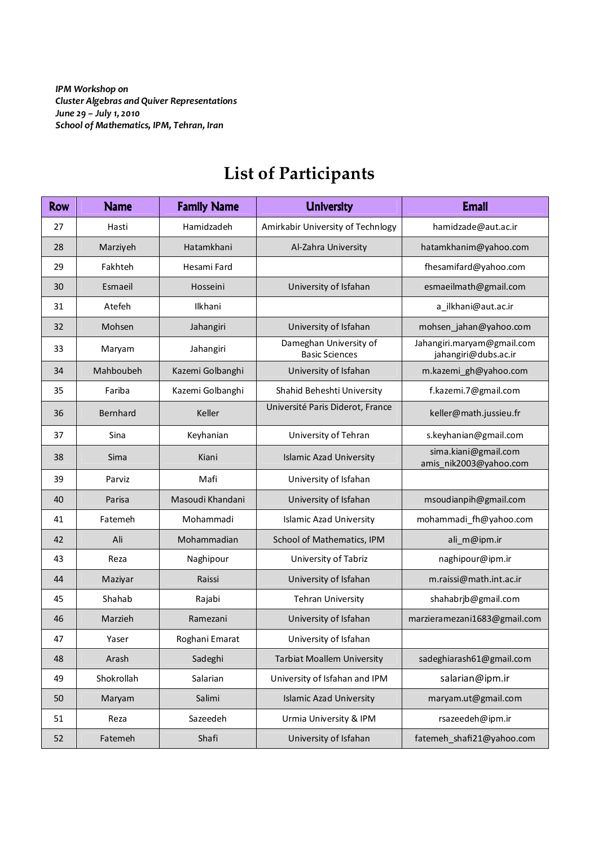IPM Workshop on Cluster Algebras and Quiver Representations June 29 – July 1, 2010 School of Mathematics, IPM, Tehran, Iran

| <b>Row</b> | <b>Name</b> | <b>Family Name</b> | <b>University</b>                               | <b>Email</b>                                       |
|------------|-------------|--------------------|-------------------------------------------------|----------------------------------------------------|
| 27         | Hasti       | Hamidzadeh         | Amirkabir University of Technlogy               | hamidzade@aut.ac.ir                                |
| 28         | Marziyeh    | Hatamkhani         | Al-Zahra University                             | hatamkhanim@yahoo.com                              |
| 29         | Fakhteh     | Hesami Fard        |                                                 | fhesamifard@yahoo.com                              |
| 30         | Esmaeil     | Hosseini           | University of Isfahan                           | esmaeilmath@gmail.com                              |
| 31         | Atefeh      | Ilkhani            |                                                 | a_ilkhani@aut.ac.ir                                |
| 32         | Mohsen      | Jahangiri          | University of Isfahan                           | mohsen_jahan@yahoo.com                             |
| 33         | Maryam      | Jahangiri          | Dameghan University of<br><b>Basic Sciences</b> | Jahangiri.maryam@gmail.com<br>jahangiri@dubs.ac.ir |
| 34         | Mahboubeh   | Kazemi Golbanghi   | University of Isfahan                           | m.kazemi_gh@yahoo.com                              |
| 35         | Fariba      | Kazemi Golbanghi   | Shahid Beheshti University                      | f.kazemi.7@gmail.com                               |
| 36         | Bernhard    | Keller             | Université Paris Diderot, France                | keller@math.jussieu.fr                             |
| 37         | Sina        | Keyhanian          | University of Tehran                            | s.keyhanian@gmail.com                              |
| 38         | Sima        | Kiani              | <b>Islamic Azad University</b>                  | sima.kiani@gmail.com<br>amis nik2003@yahoo.com     |
| 39         | Parviz      | Mafi               | University of Isfahan                           |                                                    |
| 40         | Parisa      | Masoudi Khandani   | University of Isfahan                           | msoudianpih@gmail.com                              |
| 41         | Fatemeh     | Mohammadi          | <b>Islamic Azad University</b>                  | mohammadi_fh@yahoo.com                             |
| 42         | Ali         | Mohammadian        | School of Mathematics, IPM                      | ali_m@ipm.ir                                       |
| 43         | Reza        | Naghipour          | University of Tabriz                            | naghipour@ipm.ir                                   |
| 44         | Maziyar     | Raissi             | University of Isfahan                           | m.raissi@math.int.ac.ir                            |
| 45         | Shahab      | Rajabi             | <b>Tehran University</b>                        | shahabrjb@gmail.com                                |
| 46         | Marzieh     | Ramezani           | University of Isfahan                           | marzieramezani1683@gmail.com                       |
| 47         | Yaser       | Roghani Emarat     | University of Isfahan                           |                                                    |
| 48         | Arash       | Sadeghi            | <b>Tarbiat Moallem University</b>               | sadeghiarash61@gmail.com                           |
| 49         | Shokrollah  | Salarian           | University of Isfahan and IPM                   | salarian@ipm.ir                                    |
| 50         | Maryam      | Salimi             | <b>Islamic Azad University</b>                  | maryam.ut@gmail.com                                |
| 51         | Reza        | Sazeedeh           | Urmia University & IPM                          | rsazeedeh@ipm.ir                                   |
| 52         | Fatemeh     | Shafi              | University of Isfahan                           | fatemeh_shafi21@yahoo.com                          |

## **List of Participants**